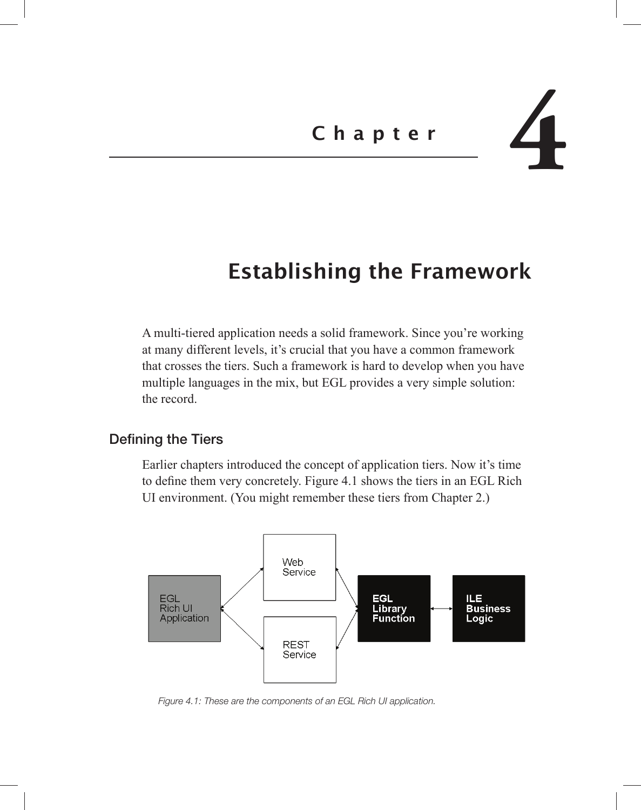

# Establishing the Framework

A multi-tiered application needs a solid framework. Since you're working at many different levels, it's crucial that you have a common framework that crosses the tiers. Such a framework is hard to develop when you have multiple languages in the mix, but EGL provides a very simple solution: the record.

# **Defining the Tiers**

Earlier chapters introduced the concept of application tiers. Now it's time to define them very concretely. Figure 4.1 shows the tiers in an EGL Rich UI environment. (You might remember these tiers from Chapter 2.)



*Figure 4.1: These are the components of an EGL Rich UI application.*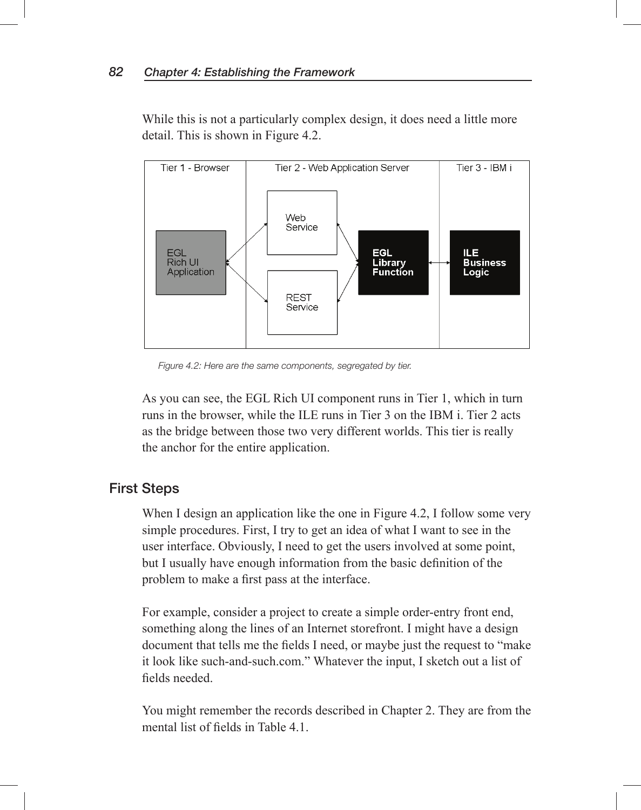While this is not a particularly complex design, it does need a little more detail. This is shown in Figure 4.2.



*Figure 4.2: Here are the same components, segregated by tier.*

As you can see, the EGL Rich UI component runs in Tier 1, which in turn runs in the browser, while the ILE runs in Tier 3 on the IBM i. Tier 2 acts as the bridge between those two very different worlds. This tier is really the anchor for the entire application.

#### **First Steps**

When I design an application like the one in Figure 4.2, I follow some very simple procedures. First, I try to get an idea of what I want to see in the user interface. Obviously, I need to get the users involved at some point, but I usually have enough information from the basic definition of the problem to make a first pass at the interface.

For example, consider a project to create a simple order-entry front end, something along the lines of an Internet storefront. I might have a design document that tells me the fields I need, or maybe just the request to "make" it look like such-and-such.com." Whatever the input, I sketch out a list of fields needed.

You might remember the records described in Chapter 2. They are from the mental list of fields in Table 4.1.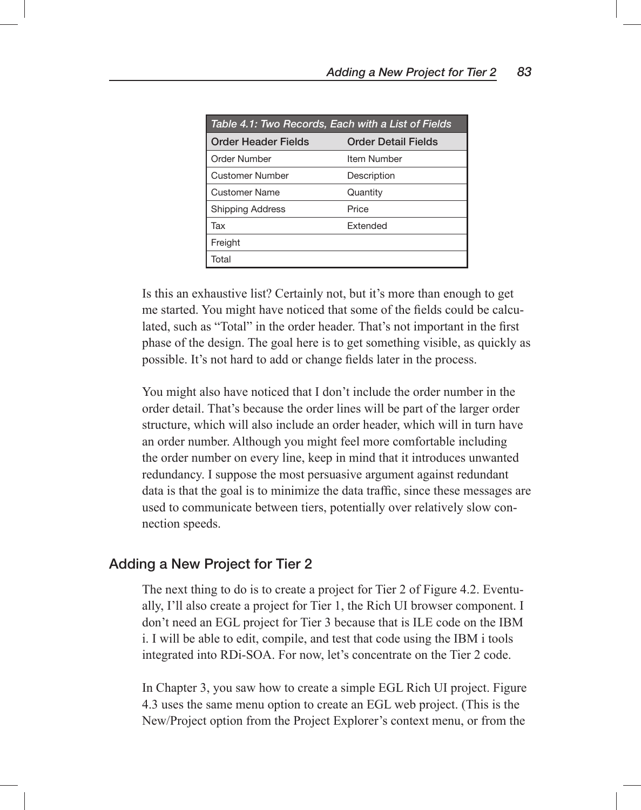| Table 4.1: Two Records, Each with a List of Fields |                            |  |  |
|----------------------------------------------------|----------------------------|--|--|
| Order Header Fields                                | <b>Order Detail Fields</b> |  |  |
| Order Number                                       | Item Number                |  |  |
| Customer Number                                    | Description                |  |  |
| Customer Name                                      | Quantity                   |  |  |
| <b>Shipping Address</b>                            | Price                      |  |  |
| Tax                                                | <b>Fxtended</b>            |  |  |
| Freight                                            |                            |  |  |
| Total                                              |                            |  |  |

Is this an exhaustive list? Certainly not, but it's more than enough to get me started. You might have noticed that some of the fields could be calculated, such as "Total" in the order header. That's not important in the first phase of the design. The goal here is to get something visible, as quickly as possible. It's not hard to add or change fields later in the process.

You might also have noticed that I don't include the order number in the order detail. That's because the order lines will be part of the larger order structure, which will also include an order header, which will in turn have an order number. Although you might feel more comfortable including the order number on every line, keep in mind that it introduces unwanted redundancy. I suppose the most persuasive argument against redundant data is that the goal is to minimize the data traffic, since these messages are used to communicate between tiers, potentially over relatively slow connection speeds.

#### **Adding a New Project for Tier 2**

The next thing to do is to create a project for Tier 2 of Figure 4.2. Eventually, I'll also create a project for Tier 1, the Rich UI browser component. I don't need an EGL project for Tier 3 because that is ILE code on the IBM i. I will be able to edit, compile, and test that code using the IBM i tools integrated into RDi-SOA. For now, let's concentrate on the Tier 2 code.

In Chapter 3, you saw how to create a simple EGL Rich UI project. Figure 4.3 uses the same menu option to create an EGL web project. (This is the New/Project option from the Project Explorer's context menu, or from the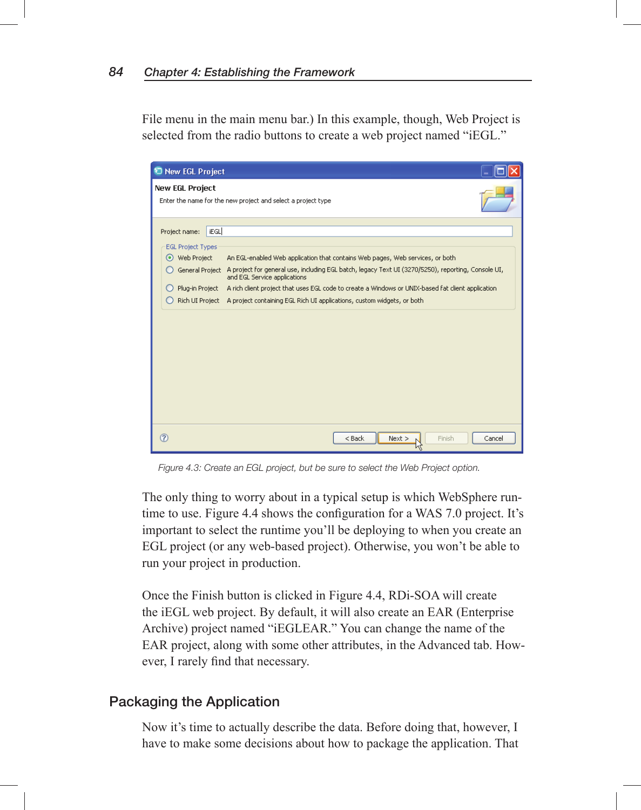File menu in the main menu bar.) In this example, though, Web Project is selected from the radio buttons to create a web project named "iEGL."

| <sup>1</sup> New EGL Project                                                                             |                                                                                                                                                                                                                                                                                                                                                                                                                    |
|----------------------------------------------------------------------------------------------------------|--------------------------------------------------------------------------------------------------------------------------------------------------------------------------------------------------------------------------------------------------------------------------------------------------------------------------------------------------------------------------------------------------------------------|
| <b>New EGL Project</b>                                                                                   | Enter the name for the new project and select a project type                                                                                                                                                                                                                                                                                                                                                       |
| iEGL<br>Project name:<br><b>EGL Project Types</b><br>⊙ Web Project<br>General Project<br>Plug-in Project | An EGL-enabled Web application that contains Web pages, Web services, or both<br>A project for general use, including EGL batch, legacy Text UI (3270/5250), reporting, Console UI,<br>and EGL Service applications<br>A rich client project that uses EGL code to create a Windows or UNIX-based fat client application<br>Rich UI Project A project containing EGL Rich UI applications, custom widgets, or both |
| ೧                                                                                                        | $<$ Back<br>Next<br>Finish<br>Cancel                                                                                                                                                                                                                                                                                                                                                                               |

*Figure 4.3: Create an EGL project, but be sure to select the Web Project option.*

The only thing to worry about in a typical setup is which WebSphere runtime to use. Figure 4.4 shows the configuration for a WAS 7.0 project. It's important to select the runtime you'll be deploying to when you create an EGL project (or any web-based project). Otherwise, you won't be able to run your project in production.

Once the Finish button is clicked in Figure 4.4, RDi-SOA will create the iEGL web project. By default, it will also create an EAR (Enterprise Archive) project named "iEGLEAR." You can change the name of the EAR project, along with some other attributes, in the Advanced tab. However, I rarely find that necessary.

## **Packaging the Application**

Now it's time to actually describe the data. Before doing that, however, I have to make some decisions about how to package the application. That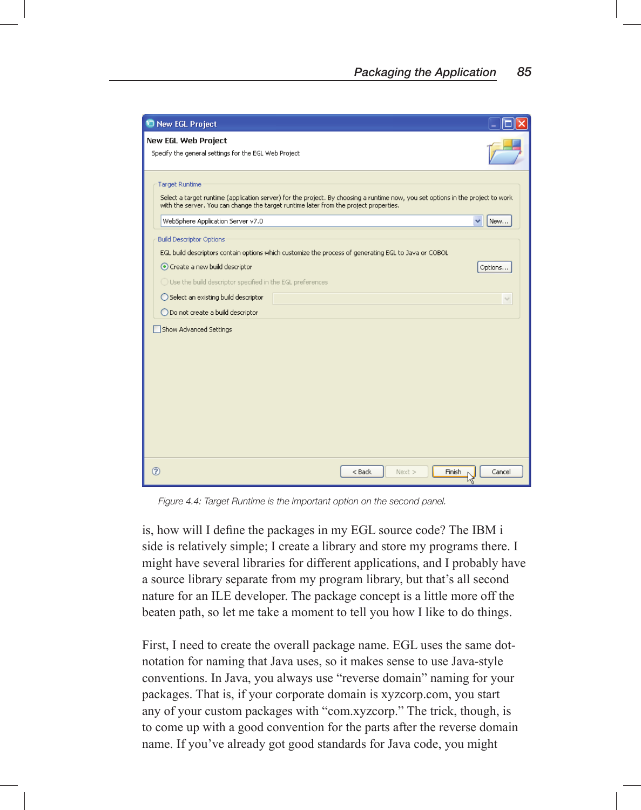| I New EGL Project                                                                                                                                                                                                        |              |
|--------------------------------------------------------------------------------------------------------------------------------------------------------------------------------------------------------------------------|--------------|
| New EGL Web Project                                                                                                                                                                                                      |              |
| Specify the general settings for the EGL Web Project                                                                                                                                                                     |              |
| <b>Target Runtime</b>                                                                                                                                                                                                    |              |
| Select a target runtime (application server) for the project. By choosing a runtime now, you set options in the project to work<br>with the server. You can change the target runtime later from the project properties. |              |
| WebSphere Application Server v7.0                                                                                                                                                                                        | New          |
| <b>Build Descriptor Options</b>                                                                                                                                                                                          |              |
| EGL build descriptors contain options which customize the process of generating EGL to Java or COBOL                                                                                                                     |              |
| ⊙ Create a new build descriptor                                                                                                                                                                                          | Options      |
| ◯ Use the build descriptor specified in the EGL preferences                                                                                                                                                              |              |
| ◯ Select an existing build descriptor                                                                                                                                                                                    | $\checkmark$ |
| ◯ Do not create a build descriptor                                                                                                                                                                                       |              |
| Show Advanced Settings                                                                                                                                                                                                   |              |
|                                                                                                                                                                                                                          |              |
|                                                                                                                                                                                                                          |              |
|                                                                                                                                                                                                                          |              |
|                                                                                                                                                                                                                          |              |
|                                                                                                                                                                                                                          |              |
|                                                                                                                                                                                                                          |              |
|                                                                                                                                                                                                                          |              |
|                                                                                                                                                                                                                          |              |
| ?<br>< Back<br>$Next$ ><br>Finish                                                                                                                                                                                        | Cancel       |

*Figure 4.4: Target Runtime is the important option on the second panel.*

is, how will I define the packages in my EGL source code? The IBM i side is relatively simple; I create a library and store my programs there. I might have several libraries for different applications, and I probably have a source library separate from my program library, but that's all second nature for an ILE developer. The package concept is a little more off the beaten path, so let me take a moment to tell you how I like to do things.

First, I need to create the overall package name. EGL uses the same dotnotation for naming that Java uses, so it makes sense to use Java-style conventions. In Java, you always use "reverse domain" naming for your packages. That is, if your corporate domain is xyzcorp.com, you start any of your custom packages with "com.xyzcorp." The trick, though, is to come up with a good convention for the parts after the reverse domain name. If you've already got good standards for Java code, you might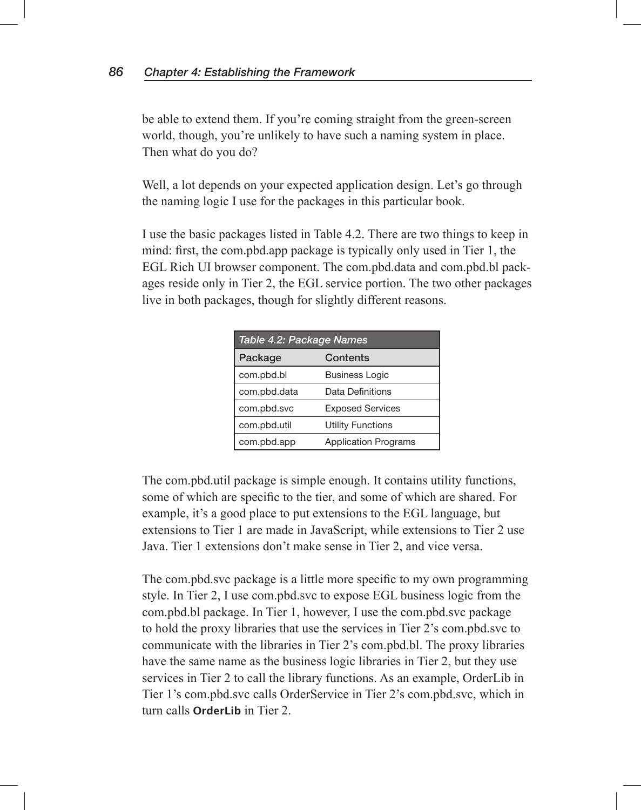be able to extend them. If you're coming straight from the green-screen world, though, you're unlikely to have such a naming system in place. Then what do you do?

Well, a lot depends on your expected application design. Let's go through the naming logic I use for the packages in this particular book.

I use the basic packages listed in Table 4.2. There are two things to keep in mind: first, the com.pbd.app package is typically only used in Tier 1, the EGL Rich UI browser component. The com.pbd.data and com.pbd.bl packages reside only in Tier 2, the EGL service portion. The two other packages live in both packages, though for slightly different reasons.

| Table 4.2: Package Names |                             |  |
|--------------------------|-----------------------------|--|
| Package                  | Contents                    |  |
| com.pbd.bl               | <b>Business Logic</b>       |  |
| com.pbd.data             | Data Definitions            |  |
| com.pbd.svc              | <b>Exposed Services</b>     |  |
| com.pbd.util             | <b>Utility Functions</b>    |  |
| com.pbd.app              | <b>Application Programs</b> |  |

The com.pbd.util package is simple enough. It contains utility functions, some of which are specific to the tier, and some of which are shared. For example, it's a good place to put extensions to the EGL language, but extensions to Tier 1 are made in JavaScript, while extensions to Tier 2 use Java. Tier 1 extensions don't make sense in Tier 2, and vice versa.

The com.pbd.svc package is a little more specific to my own programming style. In Tier 2, I use com.pbd.svc to expose EGL business logic from the com.pbd.bl package. In Tier 1, however, I use the com.pbd.svc package to hold the proxy libraries that use the services in Tier 2's com.pbd.svc to communicate with the libraries in Tier 2's com.pbd.bl. The proxy libraries have the same name as the business logic libraries in Tier 2, but they use services in Tier 2 to call the library functions. As an example, OrderLib in Tier 1's com.pbd.svc calls OrderService in Tier 2's com.pbd.svc, which in turn calls OrderLib in Tier 2.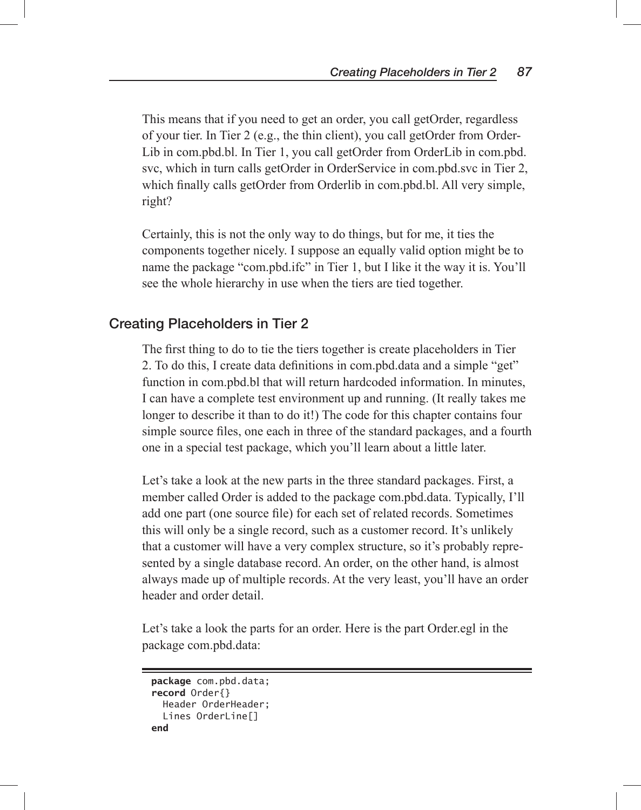This means that if you need to get an order, you call getOrder, regardless of your tier. In Tier 2 (e.g., the thin client), you call getOrder from Order-Lib in com.pbd.bl. In Tier 1, you call getOrder from OrderLib in com.pbd. svc, which in turn calls getOrder in OrderService in com.pbd.svc in Tier 2, which finally calls getOrder from Orderlib in com.pbd.bl. All very simple, right?

Certainly, this is not the only way to do things, but for me, it ties the components together nicely. I suppose an equally valid option might be to name the package "com.pbd.ifc" in Tier 1, but I like it the way it is. You'll see the whole hierarchy in use when the tiers are tied together.

## **Creating Placeholders in Tier 2**

The first thing to do to tie the tiers together is create placeholders in Tier 2. To do this, I create data definitions in com.pbd.data and a simple "get" function in com.pbd.bl that will return hardcoded information. In minutes, I can have a complete test environment up and running. (It really takes me longer to describe it than to do it!) The code for this chapter contains four simple source files, one each in three of the standard packages, and a fourth one in a special test package, which you'll learn about a little later.

Let's take a look at the new parts in the three standard packages. First, a member called Order is added to the package com.pbd.data. Typically, I'll add one part (one source file) for each set of related records. Sometimes this will only be a single record, such as a customer record. It's unlikely that a customer will have a very complex structure, so it's probably represented by a single database record. An order, on the other hand, is almost always made up of multiple records. At the very least, you'll have an order header and order detail.

Let's take a look the parts for an order. Here is the part Order.egl in the package com.pbd.data:

```
package com.pbd.data;
record Order{}
  Header OrderHeader;
  Lines OrderLine[]
end
```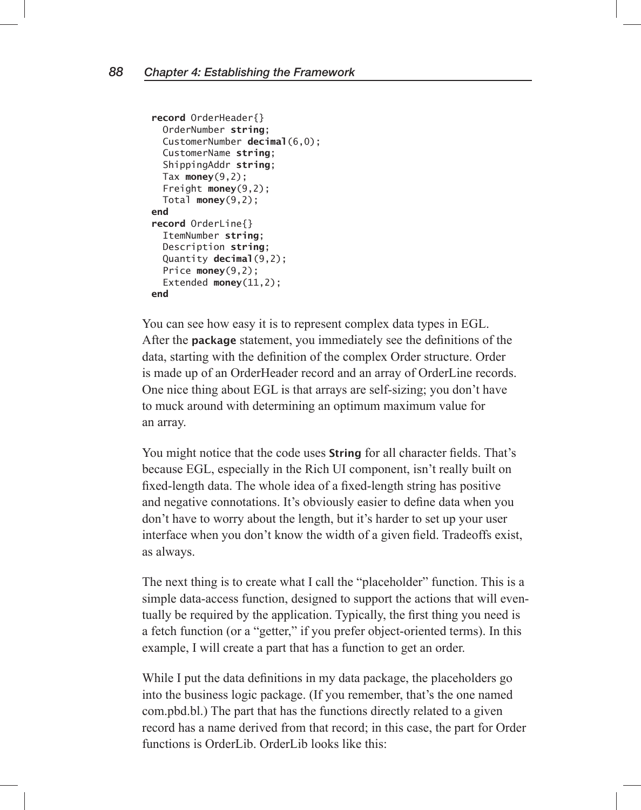```
record OrderHeader{}
   OrderNumber string;
   CustomerNumber decimal(6,0);
   CustomerName string;
   ShippingAddr string;
   Tax money(9,2);
   Freight money(9,2);
   Total money(9,2);
end
record OrderLine{}
   ItemNumber string;
   Description string;
   Quantity decimal(9,2);
   Price money(9,2);
   Extended money(11,2);
end
```
You can see how easy it is to represent complex data types in EGL. After the **package** statement, you immediately see the definitions of the data, starting with the definition of the complex Order structure. Order is made up of an OrderHeader record and an array of OrderLine records. One nice thing about EGL is that arrays are self-sizing; you don't have to muck around with determining an optimum maximum value for an array.

You might notice that the code uses **String** for all character fields. That's because EGL, especially in the Rich UI component, isn't really built on fixed-length data. The whole idea of a fixed-length string has positive and negative connotations. It's obviously easier to define data when you don't have to worry about the length, but it's harder to set up your user interface when you don't know the width of a given field. Tradeoffs exist, as always.

The next thing is to create what I call the "placeholder" function. This is a simple data-access function, designed to support the actions that will eventually be required by the application. Typically, the first thing you need is a fetch function (or a "getter," if you prefer object-oriented terms). In this example, I will create a part that has a function to get an order.

While I put the data definitions in my data package, the placeholders go into the business logic package. (If you remember, that's the one named com.pbd.bl.) The part that has the functions directly related to a given record has a name derived from that record; in this case, the part for Order functions is OrderLib. OrderLib looks like this: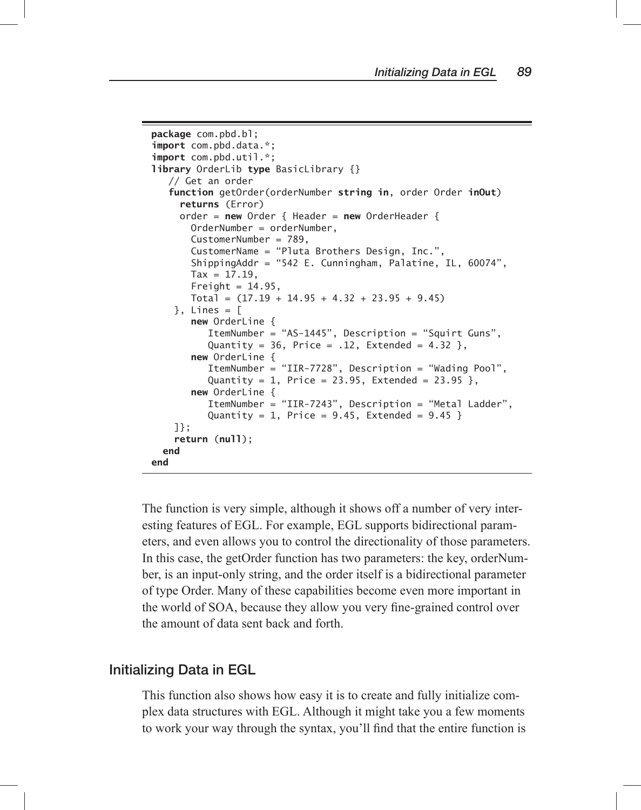```
package com.pbd.bl;
import com.pbd.data.*;
import com.pbd.util.*;
library OrderLib type BasicLibrary {}
    // Get an order
    function getOrder(orderNumber string in, order Order inOut)
      returns (Error)
      order = new Order { Header = new OrderHeader {
        OrderNumber = orderNumber,
        CustomerNumber = 789,
        CustomerName = "Pluta Brothers Design, Inc.",
        ShippingAddr = "542 E. Cunningham, Palatine, IL, 60074",
       Tax = 17.19,
       Freight = 14.95,
       Total = (17.19 + 14.95 + 4.32 + 23.95 + 9.45)\}, Lines = \lceil new OrderLine {
           ItemNumber = "AS-1445", Description = "Squirt Guns",
          Quantity = 36, Price = .12, Extended = 4.32 }.
        new OrderLine {
           ItemNumber = "IIR-7728", Description = "Wading Pool",
          Quantity = 1, Price = 23.95, Extended = 23.95 },
        new OrderLine {
           ItemNumber = "IIR-7243", Description = "Metal Ladder",
          Quantity = 1, Price = 9.45, Extended = 9.45 }
     ]};
     return (null);
   end
end
```
The function is very simple, although it shows off a number of very interesting features of EGL. For example, EGL supports bidirectional parameters, and even allows you to control the directionality of those parameters. In this case, the getOrder function has two parameters: the key, orderNumber, is an input-only string, and the order itself is a bidirectional parameter of type Order. Many of these capabilities become even more important in the world of SOA, because they allow you very fine-grained control over the amount of data sent back and forth.

#### **Initializing Data in EGL**

This function also shows how easy it is to create and fully initialize complex data structures with EGL. Although it might take you a few moments to work your way through the syntax, you'll find that the entire function is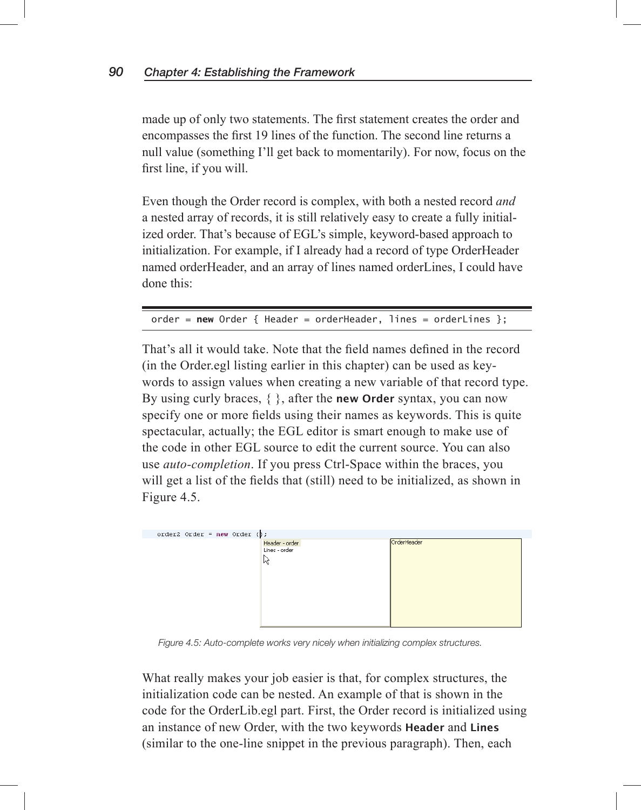made up of only two statements. The first statement creates the order and encompasses the first 19 lines of the function. The second line returns a null value (something I'll get back to momentarily). For now, focus on the first line, if you will.

Even though the Order record is complex, with both a nested record *and*  a nested array of records, it is still relatively easy to create a fully initialized order. That's because of EGL's simple, keyword-based approach to initialization. For example, if I already had a record of type OrderHeader named orderHeader, and an array of lines named orderLines, I could have done this:

order = **new** Order { Header = orderHeader, lines = orderLines };

That's all it would take. Note that the field names defined in the record (in the Order.egl listing earlier in this chapter) can be used as keywords to assign values when creating a new variable of that record type. By using curly braces, { }, after the new Order syntax, you can now specify one or more fields using their names as keywords. This is quite spectacular, actually; the EGL editor is smart enough to make use of the code in other EGL source to edit the current source. You can also use *auto-completion*. If you press Ctrl-Space within the braces, you will get a list of the fields that (still) need to be initialized, as shown in Figure 4.5.



*Figure 4.5: Auto-complete works very nicely when initializing complex structures.*

What really makes your job easier is that, for complex structures, the initialization code can be nested. An example of that is shown in the code for the OrderLib.egl part. First, the Order record is initialized using an instance of new Order, with the two keywords Header and Lines (similar to the one-line snippet in the previous paragraph). Then, each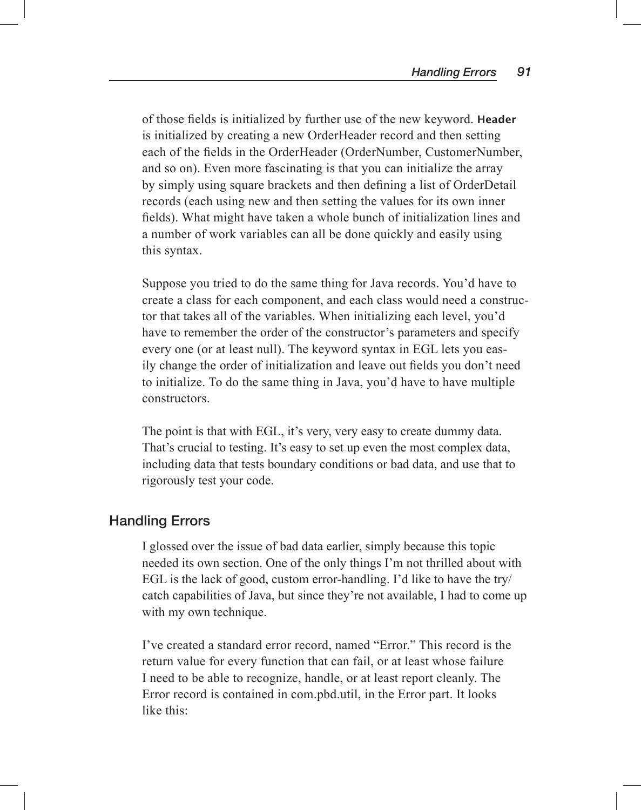of those fields is initialized by further use of the new keyword. **Header** is initialized by creating a new OrderHeader record and then setting each of the fields in the OrderHeader (OrderNumber, CustomerNumber, and so on). Even more fascinating is that you can initialize the array by simply using square brackets and then defining a list of OrderDetail records (each using new and then setting the values for its own inner fields). What might have taken a whole bunch of initialization lines and a number of work variables can all be done quickly and easily using this syntax.

Suppose you tried to do the same thing for Java records. You'd have to create a class for each component, and each class would need a constructor that takes all of the variables. When initializing each level, you'd have to remember the order of the constructor's parameters and specify every one (or at least null). The keyword syntax in EGL lets you easily change the order of initialization and leave out fields you don't need to initialize. To do the same thing in Java, you'd have to have multiple constructors.

The point is that with EGL, it's very, very easy to create dummy data. That's crucial to testing. It's easy to set up even the most complex data, including data that tests boundary conditions or bad data, and use that to rigorously test your code.

## **Handling Errors**

I glossed over the issue of bad data earlier, simply because this topic needed its own section. One of the only things I'm not thrilled about with EGL is the lack of good, custom error-handling. I'd like to have the try/ catch capabilities of Java, but since they're not available, I had to come up with my own technique.

I've created a standard error record, named "Error." This record is the return value for every function that can fail, or at least whose failure I need to be able to recognize, handle, or at least report cleanly. The Error record is contained in com.pbd.util, in the Error part. It looks like this: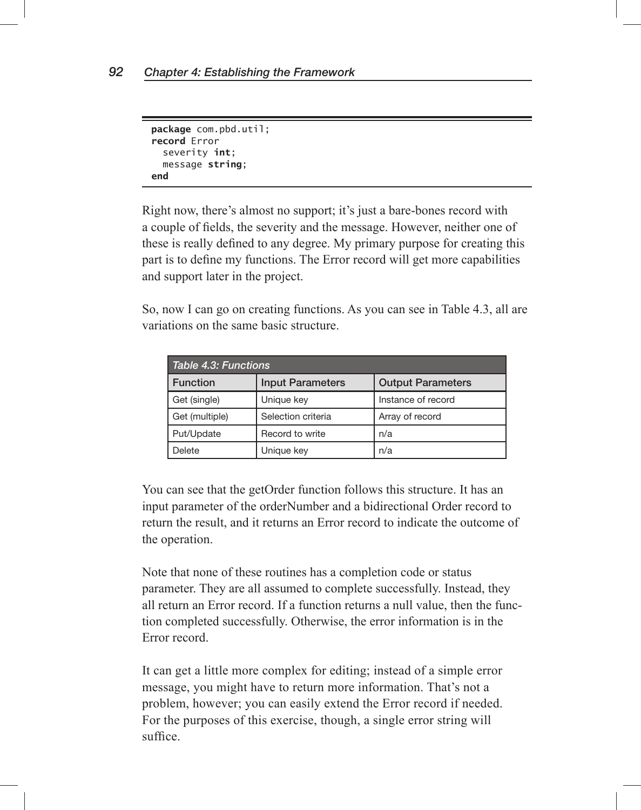```
package com.pbd.util;
record Error
   severity int;
   message string;
end
```
Right now, there's almost no support; it's just a bare-bones record with a couple of fields, the severity and the message. However, neither one of these is really defined to any degree. My primary purpose for creating this part is to define my functions. The Error record will get more capabilities and support later in the project.

So, now I can go on creating functions. As you can see in Table 4.3, all are variations on the same basic structure.

| Table 4.3: Functions |                         |                          |  |  |
|----------------------|-------------------------|--------------------------|--|--|
| <b>Function</b>      | <b>Input Parameters</b> | <b>Output Parameters</b> |  |  |
| Get (single)         | Unique key              | Instance of record       |  |  |
| Get (multiple)       | Selection criteria      | Array of record          |  |  |
| Put/Update           | Record to write         | n/a                      |  |  |
| Delete               | Unique key              | n/a                      |  |  |

You can see that the getOrder function follows this structure. It has an input parameter of the orderNumber and a bidirectional Order record to return the result, and it returns an Error record to indicate the outcome of the operation.

Note that none of these routines has a completion code or status parameter. They are all assumed to complete successfully. Instead, they all return an Error record. If a function returns a null value, then the function completed successfully. Otherwise, the error information is in the Error record.

It can get a little more complex for editing; instead of a simple error message, you might have to return more information. That's not a problem, however; you can easily extend the Error record if needed. For the purposes of this exercise, though, a single error string will suffice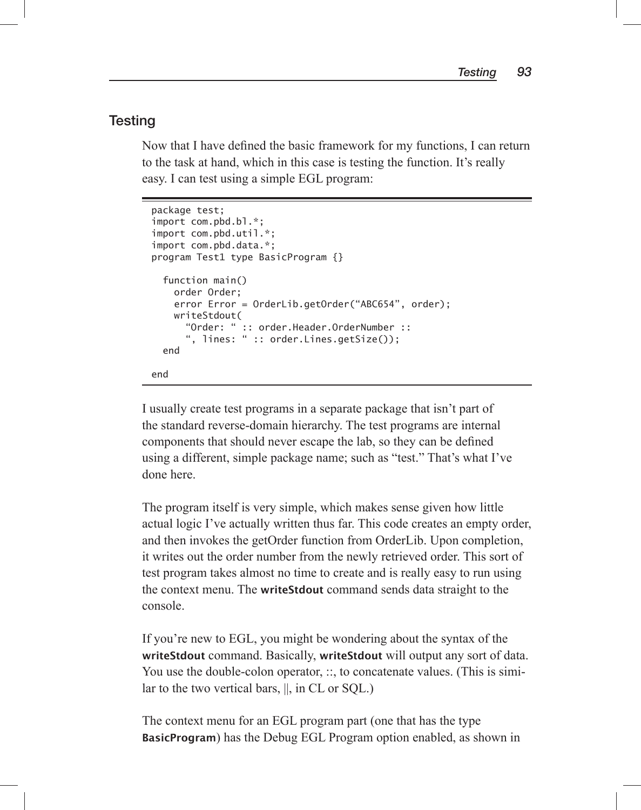# **Testing**

Now that I have defined the basic framework for my functions, I can return to the task at hand, which in this case is testing the function. It's really easy. I can test using a simple EGL program:

```
package test;
import com.pbd.bl.*;
import com.pbd.util.*;
import com.pbd.data.*;
program Test1 type BasicProgram {}
   function main()
     order Order;
     error Error = OrderLib.getOrder("ABC654", order);
     writeStdout(
       "Order: " :: order.Header.OrderNumber ::
       ", lines: " :: order.Lines.getSize());
   end
end
```
I usually create test programs in a separate package that isn't part of the standard reverse-domain hierarchy. The test programs are internal components that should never escape the lab, so they can be defined using a different, simple package name; such as "test." That's what I've done here.

The program itself is very simple, which makes sense given how little actual logic I've actually written thus far. This code creates an empty order, and then invokes the getOrder function from OrderLib. Upon completion, it writes out the order number from the newly retrieved order. This sort of test program takes almost no time to create and is really easy to run using the context menu. The writeStdout command sends data straight to the console.

If you're new to EGL, you might be wondering about the syntax of the writeStdout command. Basically, writeStdout will output any sort of data. You use the double-colon operator,  $\therefore$ , to concatenate values. (This is similar to the two vertical bars, ||, in CL or SQL.)

The context menu for an EGL program part (one that has the type BasicProgram) has the Debug EGL Program option enabled, as shown in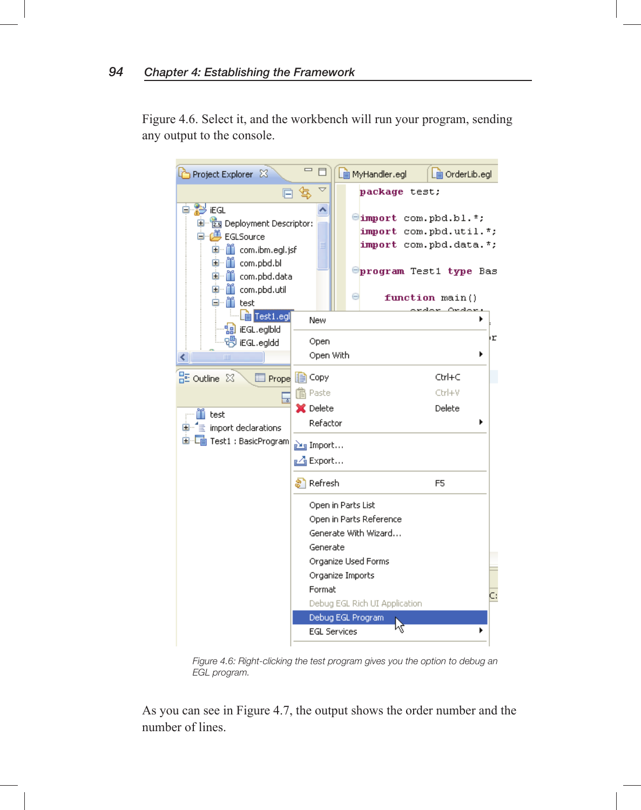Figure 4.6. Select it, and the workbench will run your program, sending any output to the console.



*Figure 4.6: Right-clicking the test program gives you the option to debug an EGL program.*

As you can see in Figure 4.7, the output shows the order number and the number of lines.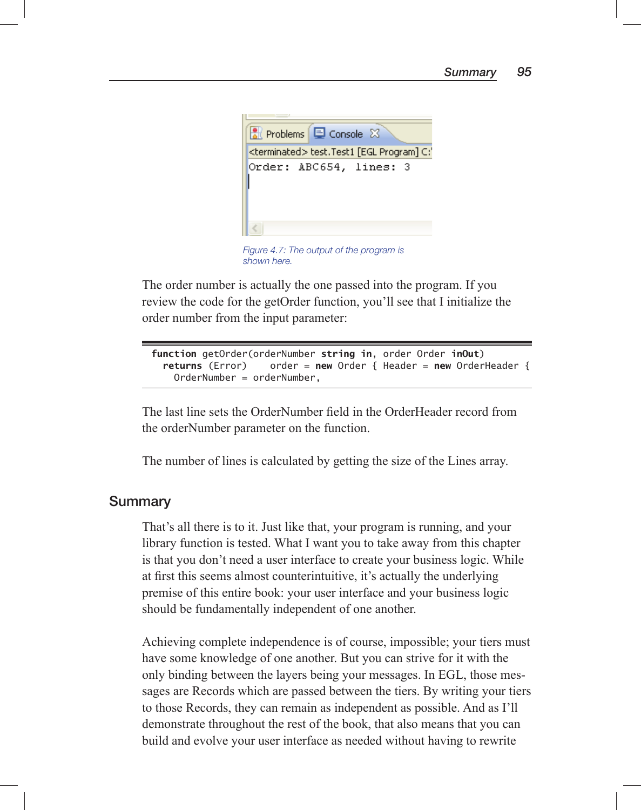

*Figure 4.7: The output of the program is shown here.*

The order number is actually the one passed into the program. If you review the code for the getOrder function, you'll see that I initialize the order number from the input parameter:

**function** getOrder(orderNumber **string in**, order Order **inOut**) **returns** (Error) order = **new** Order { Header = **new** OrderHeader { OrderNumber = orderNumber,

The last line sets the OrderNumber field in the OrderHeader record from the orderNumber parameter on the function.

The number of lines is calculated by getting the size of the Lines array.

# **Summary**

That's all there is to it. Just like that, your program is running, and your library function is tested. What I want you to take away from this chapter is that you don't need a user interface to create your business logic. While at first this seems almost counterintuitive, it's actually the underlying premise of this entire book: your user interface and your business logic should be fundamentally independent of one another.

Achieving complete independence is of course, impossible; your tiers must have some knowledge of one another. But you can strive for it with the only binding between the layers being your messages. In EGL, those messages are Records which are passed between the tiers. By writing your tiers to those Records, they can remain as independent as possible. And as I'll demonstrate throughout the rest of the book, that also means that you can build and evolve your user interface as needed without having to rewrite